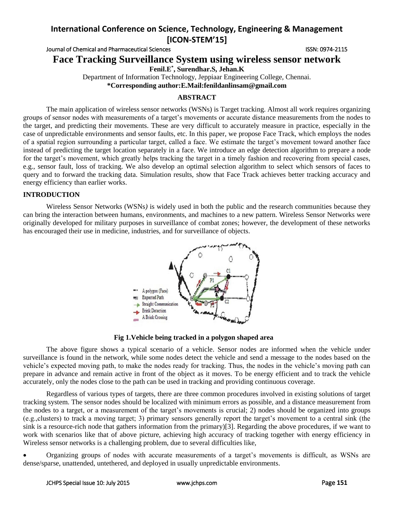Journal of Chemical and Pharmaceutical Sciences **ISSN: 0974-2115** ISSN: 0974-2115

**Face Tracking Surveillance System using wireless sensor network**

**Fenil.E\* , Surendhar.S, Jehan.K**

Department of Information Technology, Jeppiaar Engineering College, Chennai. **\*Corresponding author:E.Mail:fenildanlinsam@gmail.com**

## **ABSTRACT**

The main application of wireless sensor networks (WSNs) is Target tracking. Almost all work requires organizing groups of sensor nodes with measurements of a target's movements or accurate distance measurements from the nodes to the target, and predicting their movements. These are very difficult to accurately measure in practice, especially in the case of unpredictable environments and sensor faults, etc. In this paper, we propose Face Track, which employs the nodes of a spatial region surrounding a particular target, called a face. We estimate the target's movement toward another face instead of predicting the target location separately in a face. We introduce an edge detection algorithm to prepare a node for the target's movement, which greatly helps tracking the target in a timely fashion and recovering from special cases, e.g., sensor fault, loss of tracking. We also develop an optimal selection algorithm to select which sensors of faces to query and to forward the tracking data. Simulation results, show that Face Track achieves better tracking accuracy and energy efficiency than earlier works.

## **INTRODUCTION**

Wireless Sensor Networks (WSNs*)* is widely used in both the public and the research communities because they can bring the interaction between humans, environments, and machines to a new pattern. Wireless Sensor Networks were originally developed for military purposes in surveillance of combat zones; however, the development of these networks has encouraged their use in medicine, industries, and for surveillance of objects.



**Fig 1.Vehicle being tracked in a polygon shaped area**

The above figure shows a typical scenario of a vehicle. Sensor nodes are informed when the vehicle under surveillance is found in the network, while some nodes detect the vehicle and send a message to the nodes based on the vehicle's expected moving path, to make the nodes ready for tracking. Thus, the nodes in the vehicle's moving path can prepare in advance and remain active in front of the object as it moves. To be energy efficient and to track the vehicle accurately, only the nodes close to the path can be used in tracking and providing continuous coverage.

Regardless of various types of targets, there are three common procedures involved in existing solutions of target tracking system. The sensor nodes should be localized with minimum errors as possible, and a distance measurement from the nodes to a target, or a measurement of the target's movements is crucial; 2) nodes should be organized into groups (e.g.,clusters) to track a moving target; 3) primary sensors generally report the target's movement to a central sink (the sink is a resource-rich node that gathers information from the primary)[3]. Regarding the above procedures, if we want to work with scenarios like that of above picture, achieving high accuracy of tracking together with energy efficiency in Wireless sensor networks is a challenging problem, due to several difficulties like,

 Organizing groups of nodes with accurate measurements of a target's movements is difficult, as WSNs are dense/sparse, unattended, untethered, and deployed in usually unpredictable environments.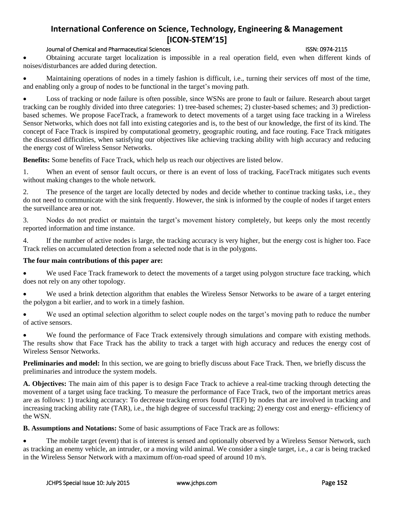### Journal of Chemical and Pharmaceutical Sciences ISSN: 0974-2115

 Obtaining accurate target localization is impossible in a real operation field, even when different kinds of noises/disturbances are added during detection.

 Maintaining operations of nodes in a timely fashion is difficult, i.e., turning their services off most of the time, and enabling only a group of nodes to be functional in the target's moving path.

 Loss of tracking or node failure is often possible, since WSNs are prone to fault or failure. Research about target tracking can be roughly divided into three categories: 1) tree-based schemes; 2) cluster-based schemes; and 3) predictionbased schemes. We propose FaceTrack, a framework to detect movements of a target using face tracking in a Wireless Sensor Networks, which does not fall into existing categories and is, to the best of our knowledge, the first of its kind. The concept of Face Track is inspired by computational geometry, geographic routing, and face routing. Face Track mitigates the discussed difficulties, when satisfying our objectives like achieving tracking ability with high accuracy and reducing the energy cost of Wireless Sensor Networks.

**Benefits:** Some benefits of Face Track, which help us reach our objectives are listed below.

1. When an event of sensor fault occurs, or there is an event of loss of tracking, FaceTrack mitigates such events without making changes to the whole network.

2. The presence of the target are locally detected by nodes and decide whether to continue tracking tasks, i.e., they do not need to communicate with the sink frequently. However, the sink is informed by the couple of nodes if target enters the surveillance area or not.

3. Nodes do not predict or maintain the target's movement history completely, but keeps only the most recently reported information and time instance.

4. If the number of active nodes is large, the tracking accuracy is very higher, but the energy cost is higher too. Face Track relies on accumulated detection from a selected node that is in the polygons.

#### **The four main contributions of this paper are:**

 We used Face Track framework to detect the movements of a target using polygon structure face tracking, which does not rely on any other topology.

- We used a brink detection algorithm that enables the Wireless Sensor Networks to be aware of a target entering the polygon a bit earlier, and to work in a timely fashion.
- We used an optimal selection algorithm to select couple nodes on the target's moving path to reduce the number of active sensors.

We found the performance of Face Track extensively through simulations and compare with existing methods. The results show that Face Track has the ability to track a target with high accuracy and reduces the energy cost of Wireless Sensor Networks.

**Preliminaries and model:** In this section, we are going to briefly discuss about Face Track. Then, we briefly discuss the preliminaries and introduce the system models.

**A. Objectives:** The main aim of this paper is to design Face Track to achieve a real-time tracking through detecting the movement of a target using face tracking. To measure the performance of Face Track, two of the important metrics areas are as follows: 1) tracking accuracy: To decrease tracking errors found (TEF) by nodes that are involved in tracking and increasing tracking ability rate (TAR), i.e., the high degree of successful tracking; 2) energy cost and energy- efficiency of the WSN.

**B. Assumptions and Notations:** Some of basic assumptions of Face Track are as follows:

• The mobile target (event) that is of interest is sensed and optionally observed by a Wireless Sensor Network, such as tracking an enemy vehicle, an intruder, or a moving wild animal. We consider a single target, i.e., a car is being tracked in the Wireless Sensor Network with a maximum off/on-road speed of around 10 m/s.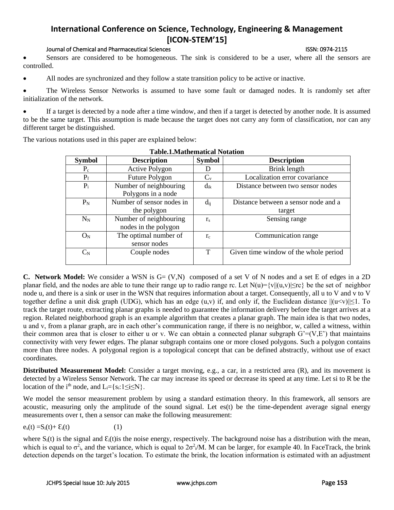#### Journal of Chemical and Pharmaceutical Sciences ISSN: 0974-2115

 Sensors are considered to be homogeneous. The sink is considered to be a user, where all the sensors are controlled.

All nodes are synchronized and they follow a state transition policy to be active or inactive.

 The Wireless Sensor Networks is assumed to have some fault or damaged nodes. It is randomly set after initialization of the network.

 If a target is detected by a node after a time window, and then if a target is detected by another node. It is assumed to be the same target. This assumption is made because the target does not carry any form of classification, nor can any different target be distinguished.

The various notations used in this paper are explained below:

| 1 abre.1.1.1amendanean 1 waawin |                           |               |                                       |
|---------------------------------|---------------------------|---------------|---------------------------------------|
| <b>Symbol</b>                   | <b>Description</b>        | <b>Symbol</b> | <b>Description</b>                    |
| $P_c$                           | <b>Active Polygon</b>     |               | Brink length                          |
| $P_f$                           | Future Polygon            | $C_{v}$       | Localization error covariance         |
| $P_i$                           | Number of neighbouring    | $d_{ik}$      | Distance between two sensor nodes     |
|                                 | Polygons in a node        |               |                                       |
| $P_N$                           | Number of sensor nodes in | $d_{ii}$      | Distance between a sensor node and a  |
|                                 | the polygon               |               | target                                |
| $N_N$                           | Number of neighbouring    | $r_{\rm s}$   | Sensing range                         |
|                                 | nodes in the polygon      |               |                                       |
| $O_{N}$                         | The optimal number of     | $r_c$         | Communication range                   |
|                                 | sensor nodes              |               |                                       |
| $C_N$                           | Couple nodes              | T             | Given time window of the whole period |
|                                 |                           |               |                                       |

**Table.1.Mathematical Notation**

**C. Network Model:** We consider a WSN is G= (V,N) composed of a set V of N nodes and a set E of edges in a 2D planar field, and the nodes are able to tune their range up to radio range rc. Let  $N(u)=\{v||(u,v)|\leq rc\}$  be the set of neighbor node u, and there is a sink or user in the WSN that requires information about a target. Consequently, all u to V and v to V together define a unit disk graph (UDG), which has an edge  $(u, v)$  if, and only if, the Euclidean distance  $||(u \le v)|| \le 1$ . To track the target route, extracting planar graphs is needed to guarantee the information delivery before the target arrives at a region. Related neighborhood graph is an example algorithm that creates a planar graph. The main idea is that two nodes, u and v, from a planar graph, are in each other's communication range, if there is no neighbor, w, called a witness, within their common area that is closer to either u or v. We can obtain a connected planar subgraph  $G'=(V,E')$  that maintains connectivity with very fewer edges. The planar subgraph contains one or more closed polygons. Such a polygon contains more than three nodes. A polygonal region is a topological concept that can be defined abstractly, without use of exact coordinates.

**Distributed Measurement Model:** Consider a target moving, e.g., a car, in a restricted area (R), and its movement is detected by a Wireless Sensor Network. The car may increase its speed or decrease its speed at any time. Let si to R be the location of the i<sup>th</sup> node, and  $L_i = \{s_i: 1 \le i \le N\}$ .

We model the sensor measurement problem by using a standard estimation theory. In this framework, all sensors are acoustic, measuring only the amplitude of the sound signal. Let  $es(t)$  be the time-dependent average signal energy measurements over t, then a sensor can make the following measurement:

 $e_s(t) = S_i(t) + \sum_i(f(t))$  (1)

where  $S_i(t)$  is the signal and  $\mathcal{E}_i(t)$  is the noise energy, respectively. The background noise has a distribution with the mean, which is equal to  $\sigma^2$ , and the variance, which is equal to  $2\sigma^2$ /M. M can be larger, for example 40. In FaceTrack, the brink detection depends on the target's location. To estimate the brink, the location information is estimated with an adjustment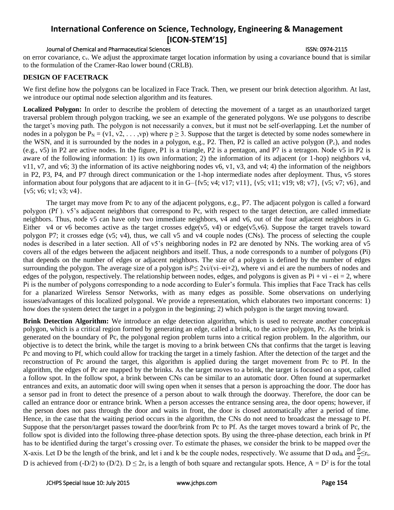#### Journal of Chemical and Pharmaceutical Sciences ISSN: 0974-2115

on error covariance, cv. We adjust the approximate target location information by using a covariance bound that is similar to the formulation of the Cramer-Rao lower bound (CRLB).

### **DESIGN OF FACETRACK**

We first define how the polygons can be localized in Face Track. Then, we present our brink detection algorithm. At last, we introduce our optimal node selection algorithm and its features.

**Localized Polygon:** In order to describe the problem of detecting the movement of a target as an unauthorized target traversal problem through polygon tracking, we see an example of the generated polygons. We use polygons to describe the target's moving path. The polygon is not necessarily a convex, but it must not be self-overlapping. Let the number of nodes in a polygon be  $P_N = (v_1, v_2, \ldots, v_p)$  where  $p \ge 3$ . Suppose that the target is detected by some nodes somewhere in the WSN, and it is surrounded by the nodes in a polygon, e.g., P2. Then, P2 is called an active polygon  $(P_c)$ , and nodes (e.g., v5) in P2 are active nodes. In the figure, P1 is a triangle, P2 is a pentagon, and P7 is a tetragon. Node v5 in P2 is aware of the following information: 1) its own information; 2) the information of its adjacent (or 1-hop) neighbors v4, v11, v7, and v6; 3) the information of its active neighboring nodes v6, v1, v3, and v4; 4) the information of the neighbors in P2, P3, P4, and P7 through direct communication or the 1-hop intermediate nodes after deployment. Thus, v5 stores information about four polygons that are adjacent to it in G–{fv5; v4; v17; v11}, {v5; v11; v19; v8; v7}, {v5; v7; v6}, and  $\{v5; v6; v1; v3; v4\}.$ 

The target may move from Pc to any of the adjacent polygons, e.g., P7. The adjacent polygon is called a forward polygon (Pf ). v5's adjacent neighbors that correspond to Pc, with respect to the target detection, are called immediate neighbors. Thus, node v5 can have only two immediate neighbors, v4 and v6, out of the four adjacent neighbors in G. Either v4 or v6 becomes active as the target crosses edge(v5, v4) or edge(v5, v6). Suppose the target travels toward polygon P7; it crosses edge (v5; v4), thus, we call v5 and v4 couple nodes (CNs). The process of selecting the couple nodes is described in a later section. All of v5's neighboring nodes in P2 are denoted by NNs. The working area of v5 covers all of the edges between the adjacent neighbors and itself. Thus, a node corresponds to a number of polygons (Pi) that depends on the number of edges or adjacent neighbors. The size of a polygon is defined by the number of edges surrounding the polygon. The average size of a polygon is  $P \leq 2vi/(vi-ei+2)$ , where vi and ei are the numbers of nodes and edges of the polygon, respectively. The relationship between nodes, edges, and polygons is given as  $Pi + vi - ei = 2$ , where Pi is the number of polygons corresponding to a node according to Euler's formula. This implies that Face Track has cells for a planarized Wireless Sensor Networks, with as many edges as possible. Some observations on underlying issues/advantages of this localized polygonal. We provide a representation, which elaborates two important concerns: 1) how does the system detect the target in a polygon in the beginning; 2) which polygon is the target moving toward.

**Brink Detection Algorithm:** We introduce an edge detection algorithm, which is used to recreate another conceptual polygon, which is a critical region formed by generating an edge, called a brink, to the active polygon, Pc. As the brink is generated on the boundary of Pc, the polygonal region problem turns into a critical region problem. In the algorithm, our objective is to detect the brink, while the target is moving to a brink between CNs that confirms that the target is leaving Pc and moving to Pf, which could allow for tracking the target in a timely fashion. After the detection of the target and the reconstruction of Pc around the target, this algorithm is applied during the target movement from Pc to Pf. In the algorithm, the edges of Pc are mapped by the brinks. As the target moves to a brink, the target is focused on a spot, called a follow spot. In the follow spot, a brink between CNs can be similar to an automatic door. Often found at supermarket entrances and exits, an automatic door will swing open when it senses that a person is approaching the door. The door has a sensor pad in front to detect the presence of a person about to walk through the doorway. Therefore, the door can be called an entrance door or entrance brink. When a person accesses the entrance sensing area, the door opens; however, if the person does not pass through the door and waits in front, the door is closed automatically after a period of time. Hence, in the case that the waiting period occurs in the algorithm, the CNs do not need to broadcast the message to Pf. Suppose that the person/target passes toward the door/brink from Pc to Pf. As the target moves toward a brink of Pc, the follow spot is divided into the following three-phase detection spots. By using the three-phase detection, each brink in Pf has to be identified during the target's crossing over. To estimate the phases, we consider the brink to be mapped over the X-axis. Let D be the length of the brink, and let i and k be the couple nodes, respectively. We assume that D  $\alpha d_{ik}$  and  $\frac{D}{2} \leq r_s$ . D is achieved from (-D/2) to (D/2).  $D \le 2r_s$  is a length of both square and rectangular spots. Hence,  $A = D^2$  is for the total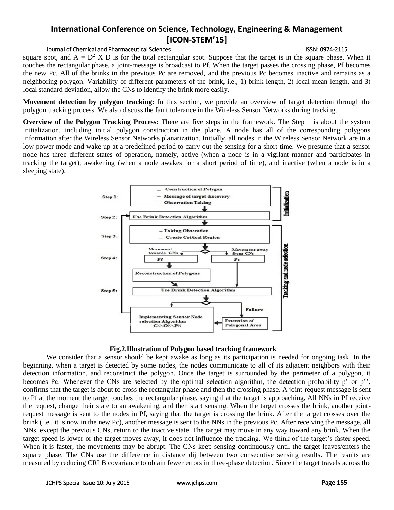## Journal of Chemical and Pharmaceutical Sciences ISSN: 0974-2115

square spot, and  $A = D^2 X D$  is for the total rectangular spot. Suppose that the target is in the square phase. When it touches the rectangular phase, a joint-message is broadcast to Pf. When the target passes the crossing phase, Pf becomes the new Pc. All of the brinks in the previous Pc are removed, and the previous Pc becomes inactive and remains as a neighboring polygon. Variability of different parameters of the brink, i.e., 1) brink length, 2) local mean length, and 3) local standard deviation, allow the CNs to identify the brink more easily.

**Movement detection by polygon tracking:** In this section, we provide an overview of target detection through the polygon tracking process. We also discuss the fault tolerance in the Wireless Sensor Networks during tracking.

**Overview of the Polygon Tracking Process:** There are five steps in the framework. The Step 1 is about the system initialization, including initial polygon construction in the plane. A node has all of the corresponding polygons information after the Wireless Sensor Networks planarization. Initially, all nodes in the Wireless Sensor Network are in a low-power mode and wake up at a predefined period to carry out the sensing for a short time. We presume that a sensor node has three different states of operation, namely, active (when a node is in a vigilant manner and participates in tracking the target), awakening (when a node awakes for a short period of time), and inactive (when a node is in a sleeping state).



## **Fig.2.Illustration of Polygon based tracking framework**

We consider that a sensor should be kept awake as long as its participation is needed for ongoing task. In the beginning, when a target is detected by some nodes, the nodes communicate to all of its adjacent neighbors with their detection information, and reconstruct the polygon. Once the target is surrounded by the perimeter of a polygon, it becomes Pc. Whenever the CNs are selected by the optimal selection algorithm, the detection probability p' or p'', confirms that the target is about to cross the rectangular phase and then the crossing phase. A joint-request message is sent to Pf at the moment the target touches the rectangular phase, saying that the target is approaching. All NNs in Pf receive the request, change their state to an awakening, and then start sensing. When the target crosses the brink, another jointrequest message is sent to the nodes in Pf, saying that the target is crossing the brink. After the target crosses over the brink (i.e., it is now in the new Pc), another message is sent to the NNs in the previous Pc. After receiving the message, all NNs, except the previous CNs, return to the inactive state. The target may move in any way toward any brink. When the target speed is lower or the target moves away, it does not influence the tracking. We think of the target's faster speed. When it is faster, the movements may be abrupt. The CNs keep sensing continuously until the target leaves/enters the square phase. The CNs use the difference in distance dij between two consecutive sensing results. The results are measured by reducing CRLB covariance to obtain fewer errors in three-phase detection. Since the target travels across the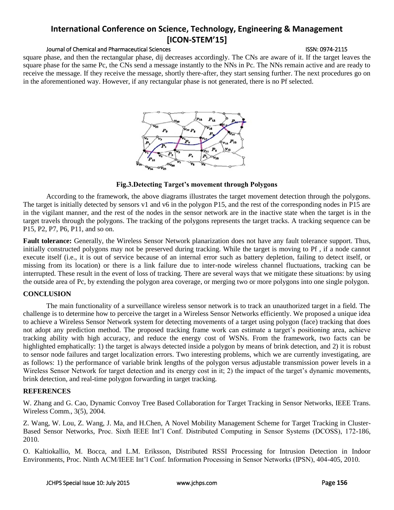## Journal of Chemical and Pharmaceutical Sciences ISSN: 0974-2115

square phase, and then the rectangular phase, dij decreases accordingly. The CNs are aware of it. If the target leaves the square phase for the same Pc, the CNs send a message instantly to the NNs in Pc. The NNs remain active and are ready to receive the message. If they receive the message, shortly there-after, they start sensing further. The next procedures go on in the aforementioned way. However, if any rectangular phase is not generated, there is no Pf selected.



## **Fig.3.Detecting Target's movement through Polygons**

According to the framework, the above diagrams illustrates the target movement detection through the polygons. The target is initially detected by sensors v1 and v6 in the polygon P15, and the rest of the corresponding nodes in P15 are in the vigilant manner, and the rest of the nodes in the sensor network are in the inactive state when the target is in the target travels through the polygons. The tracking of the polygons represents the target tracks. A tracking sequence can be P15, P2, P7, P6, P11, and so on.

**Fault tolerance:** Generally, the Wireless Sensor Network planarization does not have any fault tolerance support. Thus, initially constructed polygons may not be preserved during tracking. While the target is moving to Pf , if a node cannot execute itself (i.e., it is out of service because of an internal error such as battery depletion, failing to detect itself, or missing from its location) or there is a link failure due to inter-node wireless channel fluctuations, tracking can be interrupted. These result in the event of loss of tracking. There are several ways that we mitigate these situations: by using the outside area of Pc, by extending the polygon area coverage, or merging two or more polygons into one single polygon.

## **CONCLUSION**

The main functionality of a surveillance wireless sensor network is to track an unauthorized target in a field. The challenge is to determine how to perceive the target in a Wireless Sensor Networks efficiently. We proposed a unique idea to achieve a Wireless Sensor Network system for detecting movements of a target using polygon (face) tracking that does not adopt any prediction method. The proposed tracking frame work can estimate a target's positioning area, achieve tracking ability with high accuracy, and reduce the energy cost of WSNs. From the framework, two facts can be highlighted emphatically: 1) the target is always detected inside a polygon by means of brink detection, and 2) it is robust to sensor node failures and target localization errors. Two interesting problems, which we are currently investigating, are as follows: 1) the performance of variable brink lengths of the polygon versus adjustable transmission power levels in a Wireless Sensor Network for target detection and its energy cost in it; 2) the impact of the target's dynamic movements, brink detection, and real-time polygon forwarding in target tracking.

## **REFERENCES**

W. Zhang and G. Cao, Dynamic Convoy Tree Based Collaboration for Target Tracking in Sensor Networks, IEEE Trans. Wireless Comm., 3(5), 2004.

Z. Wang, W. Lou, Z. Wang, J. Ma, and H.Chen, A Novel Mobility Management Scheme for Target Tracking in Cluster-Based Sensor Networks, Proc. Sixth IEEE Int'l Conf. Distributed Computing in Sensor Systems (DCOSS), 172-186, 2010.

O. Kaltiokallio, M. Bocca, and L.M. Eriksson, Distributed RSSI Processing for Intrusion Detection in Indoor Environments, Proc. Ninth ACM/IEEE Int'l Conf. Information Processing in Sensor Networks (IPSN), 404-405, 2010.